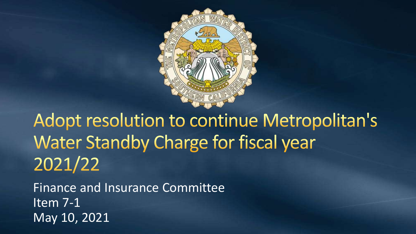

Adopt resolution to continue Metropolitan's **Water Standby Charge for fiscal year** 2021/22

Finance and Insurance Committee Item 7-1 May 10, 2021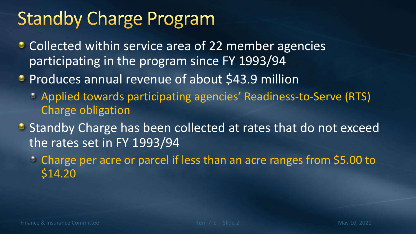## **Standby Charge Program**

- Collected within service area of 22 member agencies participating in the program since FY 1993/94
- **Produces annual revenue of about \$43.9 million** 
	- Applied towards participating agencies' Readiness-to-Serve (RTS) Charge obligation
- Standby Charge has been collected at rates that do not exceed the rates set in FY 1993/94
	- Charge per acre or parcel if less than an acre ranges from \$5.00 to \$14.20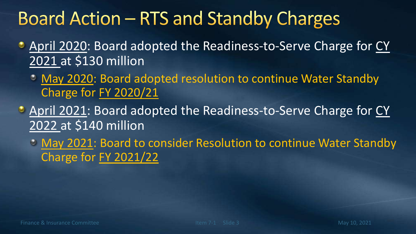## **Board Action – RTS and Standby Charges**

- **April 2020: Board adopted the Readiness-to-Serve Charge for CY** 2021 at \$130 million
	- May 2020: Board adopted resolution to continue Water Standby Charge for FY 2020/21
- April 2021: Board adopted the Readiness-to-Serve Charge for CY 2022 at \$140 million
	- May 2021: Board to consider Resolution to continue Water Standby Charge for FY 2021/22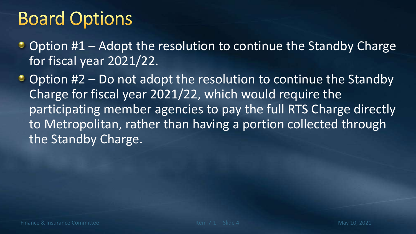## **Board Options**

- Option #1 Adopt the resolution to continue the Standby Charge for fiscal year 2021/22.
- $\bullet$  Option #2 Do not adopt the resolution to continue the Standby Charge for fiscal year 2021/22, which would require the participating member agencies to pay the full RTS Charge directly to Metropolitan, rather than having a portion collected through the Standby Charge.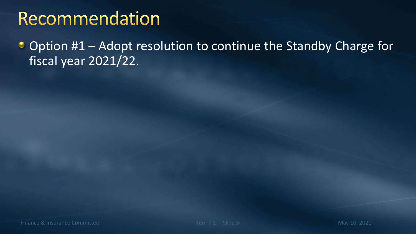## Recommendation

Option #1 – Adopt resolution to continue the Standby Charge for  $\bullet$ fiscal year 2021/22.